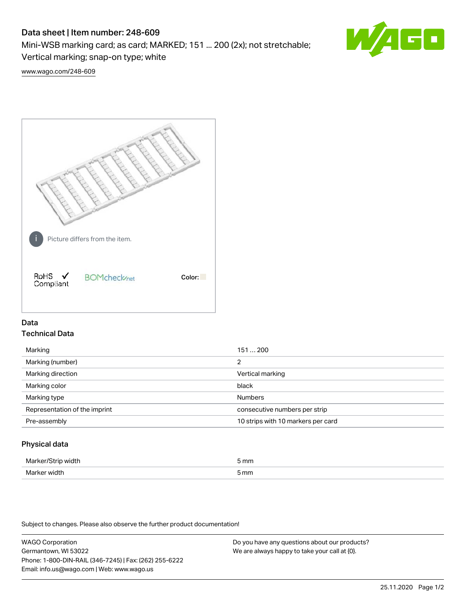# Data sheet | Item number: 248-609

Mini-WSB marking card; as card; MARKED; 151 ... 200 (2x); not stretchable;

Vertical marking; snap-on type; white

60

[www.wago.com/248-609](http://www.wago.com/248-609)



## Data Technical Data

| Marking                       | 151  200                           |
|-------------------------------|------------------------------------|
| Marking (number)              | 2                                  |
| Marking direction             | Vertical marking                   |
| Marking color                 | black                              |
| Marking type                  | <b>Numbers</b>                     |
| Representation of the imprint | consecutive numbers per strip      |
| Pre-assembly                  | 10 strips with 10 markers per card |
|                               |                                    |

## Physical data

| Mar                      | 5 mm |
|--------------------------|------|
| M <sub>cr</sub><br>width | 5 mm |

Subject to changes. Please also observe the further product documentation!

WAGO Corporation Germantown, WI 53022 Phone: 1-800-DIN-RAIL (346-7245) | Fax: (262) 255-6222 Email: info.us@wago.com | Web: www.wago.us Do you have any questions about our products? We are always happy to take your call at {0}.